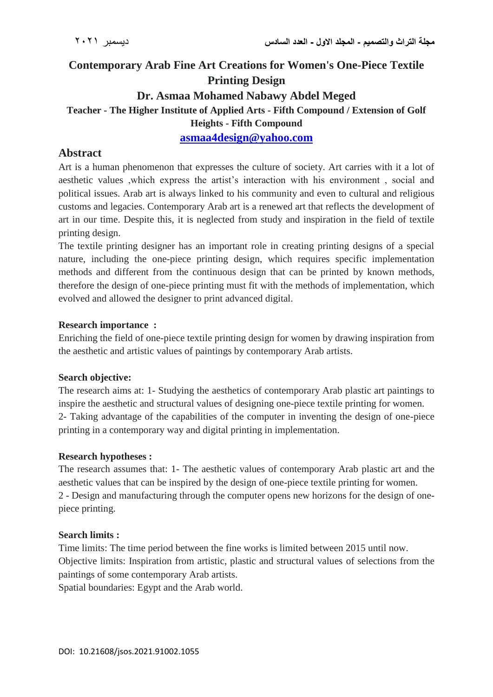# **Contemporary Arab Fine Art Creations for Women's One-Piece Textile Printing Design Dr. Asmaa Mohamed Nabawy Abdel Meged Teacher - The Higher Institute of Applied Arts - Fifth Compound / Extension of Golf Heights - Fifth Compound [asmaa4design@yahoo.com](mailto:asmaa4design@yahoo.com)**

### **Abstract**

Art is a human phenomenon that expresses the culture of society. Art carries with it a lot of aesthetic values ,which express the artist's interaction with his environment , social and political issues. Arab art is always linked to his community and even to cultural and religious customs and legacies. Contemporary Arab art is a renewed art that reflects the development of art in our time. Despite this, it is neglected from study and inspiration in the field of textile printing design.

The textile printing designer has an important role in creating printing designs of a special nature, including the one-piece printing design, which requires specific implementation methods and different from the continuous design that can be printed by known methods, therefore the design of one-piece printing must fit with the methods of implementation, which evolved and allowed the designer to print advanced digital.

#### **Research importance :**

Enriching the field of one-piece textile printing design for women by drawing inspiration from the aesthetic and artistic values of paintings by contemporary Arab artists.

#### **Search objective:**

The research aims at: 1- Studying the aesthetics of contemporary Arab plastic art paintings to inspire the aesthetic and structural values of designing one-piece textile printing for women. 2- Taking advantage of the capabilities of the computer in inventing the design of one-piece printing in a contemporary way and digital printing in implementation.

#### **Research hypotheses :**

The research assumes that: 1- The aesthetic values of contemporary Arab plastic art and the aesthetic values that can be inspired by the design of one-piece textile printing for women. 2 - Design and manufacturing through the computer opens new horizons for the design of onepiece printing.

#### **Search limits :**

Time limits: The time period between the fine works is limited between 2015 until now. Objective limits: Inspiration from artistic, plastic and structural values of selections from the paintings of some contemporary Arab artists.

Spatial boundaries: Egypt and the Arab world.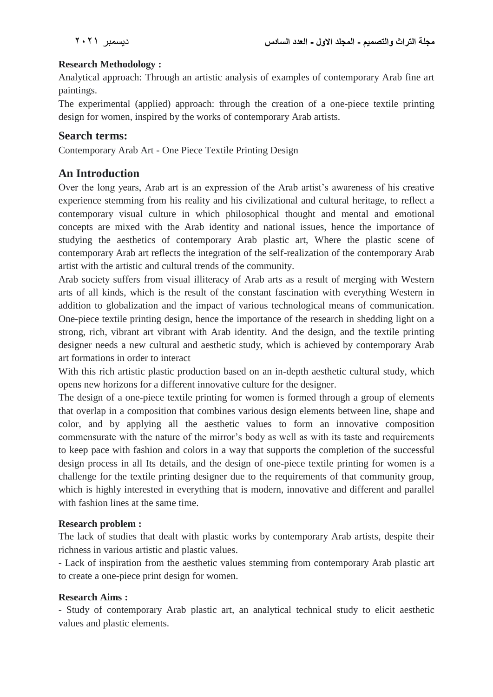### **Research Methodology :**

Analytical approach: Through an artistic analysis of examples of contemporary Arab fine art paintings.

The experimental (applied) approach: through the creation of a one-piece textile printing design for women, inspired by the works of contemporary Arab artists.

### **Search terms:**

Contemporary Arab Art - One Piece Textile Printing Design

# **An Introduction**

Over the long years, Arab art is an expression of the Arab artist's awareness of his creative experience stemming from his reality and his civilizational and cultural heritage, to reflect a contemporary visual culture in which philosophical thought and mental and emotional concepts are mixed with the Arab identity and national issues, hence the importance of studying the aesthetics of contemporary Arab plastic art, Where the plastic scene of contemporary Arab art reflects the integration of the self-realization of the contemporary Arab artist with the artistic and cultural trends of the community.

Arab society suffers from visual illiteracy of Arab arts as a result of merging with Western arts of all kinds, which is the result of the constant fascination with everything Western in addition to globalization and the impact of various technological means of communication. One-piece textile printing design, hence the importance of the research in shedding light on a strong, rich, vibrant art vibrant with Arab identity. And the design, and the textile printing designer needs a new cultural and aesthetic study, which is achieved by contemporary Arab art formations in order to interact

With this rich artistic plastic production based on an in-depth aesthetic cultural study, which opens new horizons for a different innovative culture for the designer.

The design of a one-piece textile printing for women is formed through a group of elements that overlap in a composition that combines various design elements between line, shape and color, and by applying all the aesthetic values to form an innovative composition commensurate with the nature of the mirror's body as well as with its taste and requirements to keep pace with fashion and colors in a way that supports the completion of the successful design process in all Its details, and the design of one-piece textile printing for women is a challenge for the textile printing designer due to the requirements of that community group, which is highly interested in everything that is modern, innovative and different and parallel with fashion lines at the same time.

#### **Research problem :**

The lack of studies that dealt with plastic works by contemporary Arab artists, despite their richness in various artistic and plastic values.

- Lack of inspiration from the aesthetic values stemming from contemporary Arab plastic art to create a one-piece print design for women.

#### **Research Aims :**

- Study of contemporary Arab plastic art, an analytical technical study to elicit aesthetic values and plastic elements.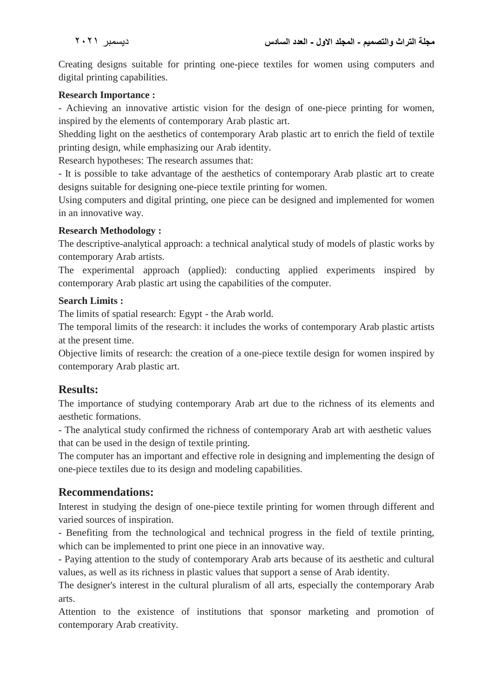Creating designs suitable for printing one-piece textiles for women using computers and digital printing capabilities.

### **Research Importance :**

- Achieving an innovative artistic vision for the design of one-piece printing for women, inspired by the elements of contemporary Arab plastic art.

Shedding light on the aesthetics of contemporary Arab plastic art to enrich the field of textile printing design, while emphasizing our Arab identity.

Research hypotheses: The research assumes that:

- It is possible to take advantage of the aesthetics of contemporary Arab plastic art to create designs suitable for designing one-piece textile printing for women.

Using computers and digital printing, one piece can be designed and implemented for women in an innovative way.

### **Research Methodology :**

The descriptive-analytical approach: a technical analytical study of models of plastic works by contemporary Arab artists.

The experimental approach (applied): conducting applied experiments inspired by contemporary Arab plastic art using the capabilities of the computer.

### **Search Limits :**

The limits of spatial research: Egypt - the Arab world.

The temporal limits of the research: it includes the works of contemporary Arab plastic artists at the present time.

Objective limits of research: the creation of a one-piece textile design for women inspired by contemporary Arab plastic art.

# **Results:**

The importance of studying contemporary Arab art due to the richness of its elements and aesthetic formations.

- The analytical study confirmed the richness of contemporary Arab art with aesthetic values that can be used in the design of textile printing.

The computer has an important and effective role in designing and implementing the design of one-piece textiles due to its design and modeling capabilities.

# **Recommendations:**

Interest in studying the design of one-piece textile printing for women through different and varied sources of inspiration.

- Benefiting from the technological and technical progress in the field of textile printing, which can be implemented to print one piece in an innovative way.

- Paying attention to the study of contemporary Arab arts because of its aesthetic and cultural values, as well as its richness in plastic values that support a sense of Arab identity.

The designer's interest in the cultural pluralism of all arts, especially the contemporary Arab arts.

Attention to the existence of institutions that sponsor marketing and promotion of contemporary Arab creativity.